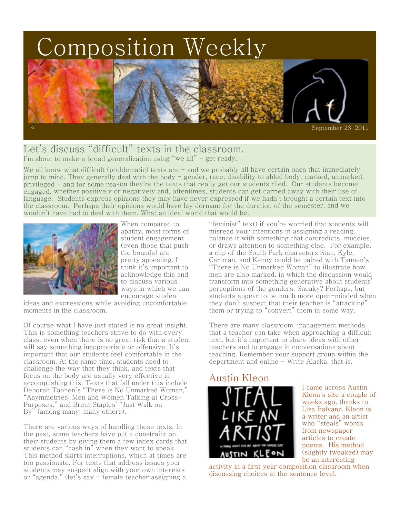# Composition Weekly



## Let's discuss "difficult" texts in the classroom.

I'm about to make a broad generalization using "we all" - get ready.

We all know what difficult (problematic) texts are - and we probably all have certain ones that immediately jump to mind. They generally deal with the body - gender, race, disability to abled body, marked, unmarked, privileged - and for some reason they're the texts that really get our students riled. Our students become engaged, whether positively or negatively and, oftentimes, students can get carried away with their use of language. Students express opinions they may have never expressed if we hadn't brought a certain text into the classroom. Perhaps their opinions would have lay dormant for the duration of the semester, and we wouldn't have had to deal with them. What an ideal world that would be.



When compared to apathy, most forms of student engagement (even those that push the bounds) are pretty appealing. I think it's important to acknowledge this and to discuss various ways in which we can encourage student

ideas and expressions while avoiding uncomfortable moments in the classroom.

Of course what I have just stated is no great insight. This is something teachers strive to do with every class, even when there is no great risk that a student will say something inappropriate or offensive. It's important that our students feel comfortable in the classroom. At the same time, students need to challenge the way that they think, and texts that focus on the body are usually very effective in accomplishing this. Texts that fall under this include Deborah Tannen's "There is No Unmarked Woman," "Asymmetries: Men and Women Talking at Cross-Purposes," and Brent Staples' "Just Walk on By" (among many, many others).

There are various ways of handling these texts. In the past, some teachers have put a constraint on their students by giving them a few index cards that students can "cash in" when they want to speak. This method skirts interruptions, which at times are too passionate. For texts that address issues your students may suspect align with your own interests or "agenda," (let's say - female teacher assigning a

"feminist" text) if you're worried that students will misread your intentions in assigning a reading, balance it with something that contradicts, muddies, or draws attention to something else. For example, a clip of the South Park characters Stan, Kyle, Cartman, and Kenny could be paired with Tannen's "There is No Unmarked Woman" to illustrate how men are also marked, in which the discussion would transform into something generative about students' perceptions of the genders. Sneaky? Perhaps, but students appear to be much more open-minded when they don't suspect that their teacher is "attacking" them or trying to "convert" them in some way.

There are many classroom-management methods that a teacher can take when approaching a difficult text, but it's important to share ideas with other teachers and to engage in conversations about teaching. Remember your support group within the department and online - Write Alaska, that is.

### Austin Kleon



I came across Austin Kleon's site a couple of weeks ago, thanks to Lisa Balvanz. Kleon is a writer and an artist who "steals" words from newspaper articles to create poems. His method (slightly tweaked) may be an interesting

activity in a first year composition classroom when discussing choices at the sentence level.